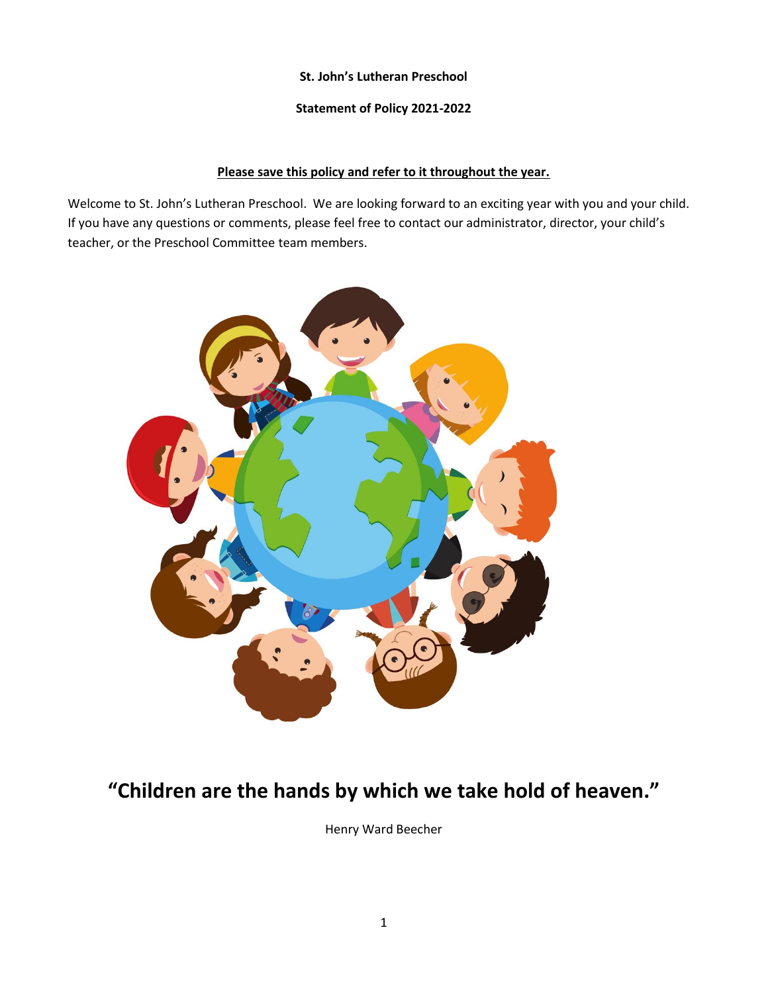### **St. John's Lutheran Preschool**

### **Statement of Policy 2021-2022**

# **Please save this policy and refer to it throughout the year.**

Welcome to St. John's Lutheran Preschool. We are looking forward to an exciting year with you and your child. If you have any questions or comments, please feel free to contact our administrator, director, your child's teacher, or the Preschool Committee team members.



# **"Children are the hands by which we take hold of heaven."**

Henry Ward Beecher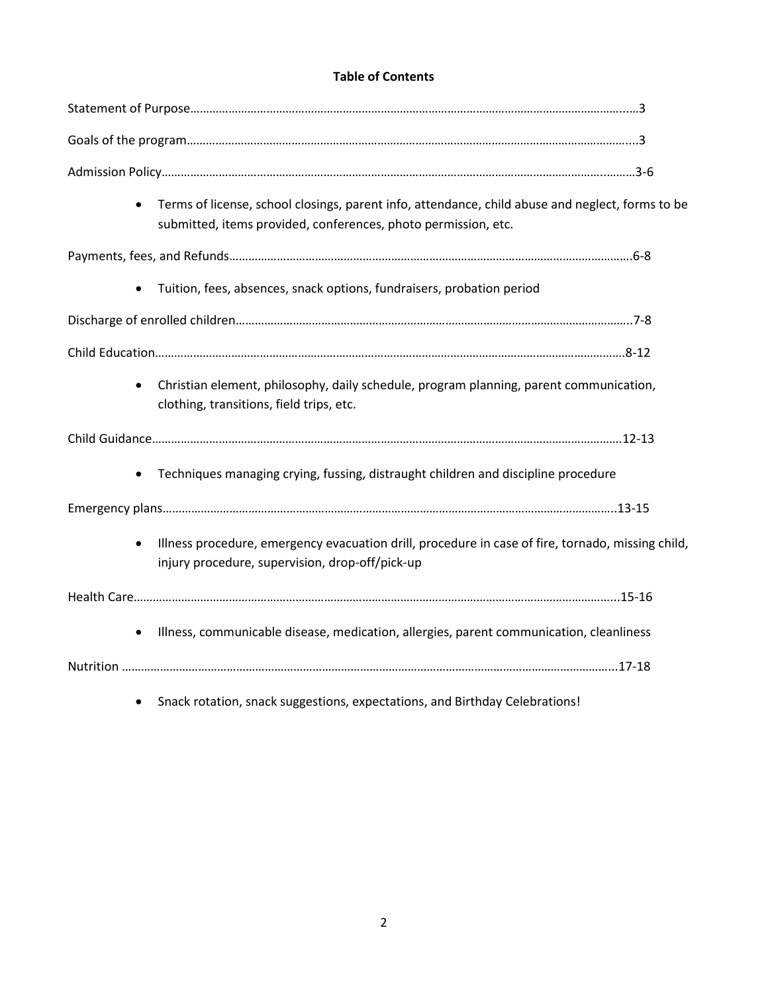# **Table of Contents**

| Terms of license, school closings, parent info, attendance, child abuse and neglect, forms to be<br>$\bullet$<br>submitted, items provided, conferences, photo permission, etc. |  |
|---------------------------------------------------------------------------------------------------------------------------------------------------------------------------------|--|
|                                                                                                                                                                                 |  |
| Tuition, fees, absences, snack options, fundraisers, probation period<br>$\bullet$                                                                                              |  |
|                                                                                                                                                                                 |  |
|                                                                                                                                                                                 |  |
| Christian element, philosophy, daily schedule, program planning, parent communication,<br>$\bullet$<br>clothing, transitions, field trips, etc.                                 |  |
|                                                                                                                                                                                 |  |
| Techniques managing crying, fussing, distraught children and discipline procedure                                                                                               |  |
|                                                                                                                                                                                 |  |
| Illness procedure, emergency evacuation drill, procedure in case of fire, tornado, missing child,<br>$\bullet$<br>injury procedure, supervision, drop-off/pick-up               |  |
|                                                                                                                                                                                 |  |
| Illness, communicable disease, medication, allergies, parent communication, cleanliness<br>$\bullet$                                                                            |  |
|                                                                                                                                                                                 |  |

Snack rotation, snack suggestions, expectations, and Birthday Celebrations!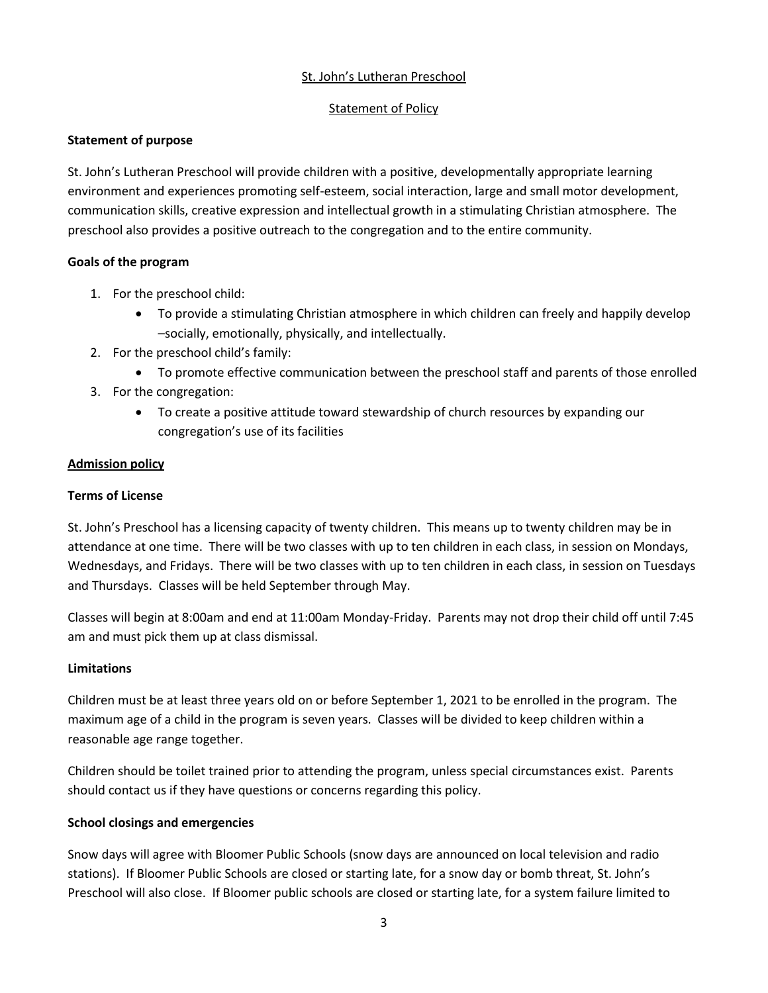# St. John's Lutheran Preschool

# Statement of Policy

# **Statement of purpose**

St. John's Lutheran Preschool will provide children with a positive, developmentally appropriate learning environment and experiences promoting self-esteem, social interaction, large and small motor development, communication skills, creative expression and intellectual growth in a stimulating Christian atmosphere. The preschool also provides a positive outreach to the congregation and to the entire community.

# **Goals of the program**

- 1. For the preschool child:
	- To provide a stimulating Christian atmosphere in which children can freely and happily develop –socially, emotionally, physically, and intellectually.
- 2. For the preschool child's family:
	- To promote effective communication between the preschool staff and parents of those enrolled
- 3. For the congregation:
	- To create a positive attitude toward stewardship of church resources by expanding our congregation's use of its facilities

# **Admission policy**

# **Terms of License**

St. John's Preschool has a licensing capacity of twenty children. This means up to twenty children may be in attendance at one time. There will be two classes with up to ten children in each class, in session on Mondays, Wednesdays, and Fridays. There will be two classes with up to ten children in each class, in session on Tuesdays and Thursdays. Classes will be held September through May.

Classes will begin at 8:00am and end at 11:00am Monday-Friday. Parents may not drop their child off until 7:45 am and must pick them up at class dismissal.

# **Limitations**

Children must be at least three years old on or before September 1, 2021 to be enrolled in the program. The maximum age of a child in the program is seven years. Classes will be divided to keep children within a reasonable age range together.

Children should be toilet trained prior to attending the program, unless special circumstances exist. Parents should contact us if they have questions or concerns regarding this policy.

# **School closings and emergencies**

Snow days will agree with Bloomer Public Schools (snow days are announced on local television and radio stations). If Bloomer Public Schools are closed or starting late, for a snow day or bomb threat, St. John's Preschool will also close. If Bloomer public schools are closed or starting late, for a system failure limited to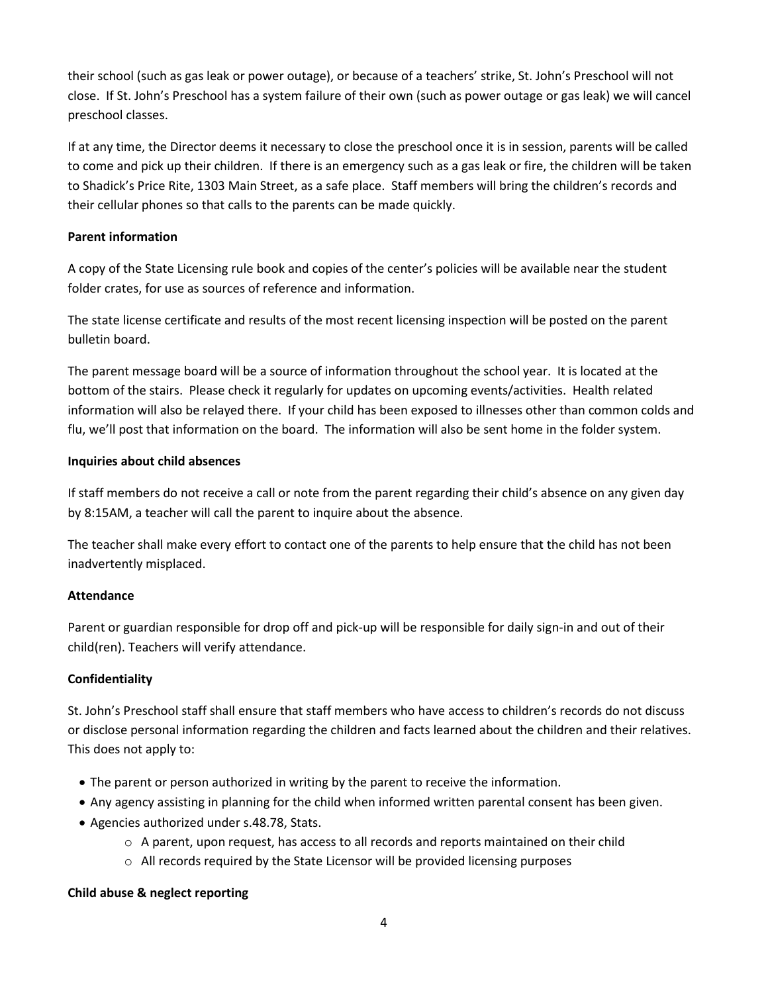their school (such as gas leak or power outage), or because of a teachers' strike, St. John's Preschool will not close. If St. John's Preschool has a system failure of their own (such as power outage or gas leak) we will cancel preschool classes.

If at any time, the Director deems it necessary to close the preschool once it is in session, parents will be called to come and pick up their children. If there is an emergency such as a gas leak or fire, the children will be taken to Shadick's Price Rite, 1303 Main Street, as a safe place. Staff members will bring the children's records and their cellular phones so that calls to the parents can be made quickly.

# **Parent information**

A copy of the State Licensing rule book and copies of the center's policies will be available near the student folder crates, for use as sources of reference and information.

The state license certificate and results of the most recent licensing inspection will be posted on the parent bulletin board.

The parent message board will be a source of information throughout the school year. It is located at the bottom of the stairs. Please check it regularly for updates on upcoming events/activities. Health related information will also be relayed there. If your child has been exposed to illnesses other than common colds and flu, we'll post that information on the board. The information will also be sent home in the folder system.

# **Inquiries about child absences**

If staff members do not receive a call or note from the parent regarding their child's absence on any given day by 8:15AM, a teacher will call the parent to inquire about the absence.

The teacher shall make every effort to contact one of the parents to help ensure that the child has not been inadvertently misplaced.

# **Attendance**

Parent or guardian responsible for drop off and pick-up will be responsible for daily sign-in and out of their child(ren). Teachers will verify attendance.

# **Confidentiality**

St. John's Preschool staff shall ensure that staff members who have access to children's records do not discuss or disclose personal information regarding the children and facts learned about the children and their relatives. This does not apply to:

- The parent or person authorized in writing by the parent to receive the information.
- Any agency assisting in planning for the child when informed written parental consent has been given.
- Agencies authorized under s.48.78, Stats.
	- o A parent, upon request, has access to all records and reports maintained on their child
	- o All records required by the State Licensor will be provided licensing purposes

### **Child abuse & neglect reporting**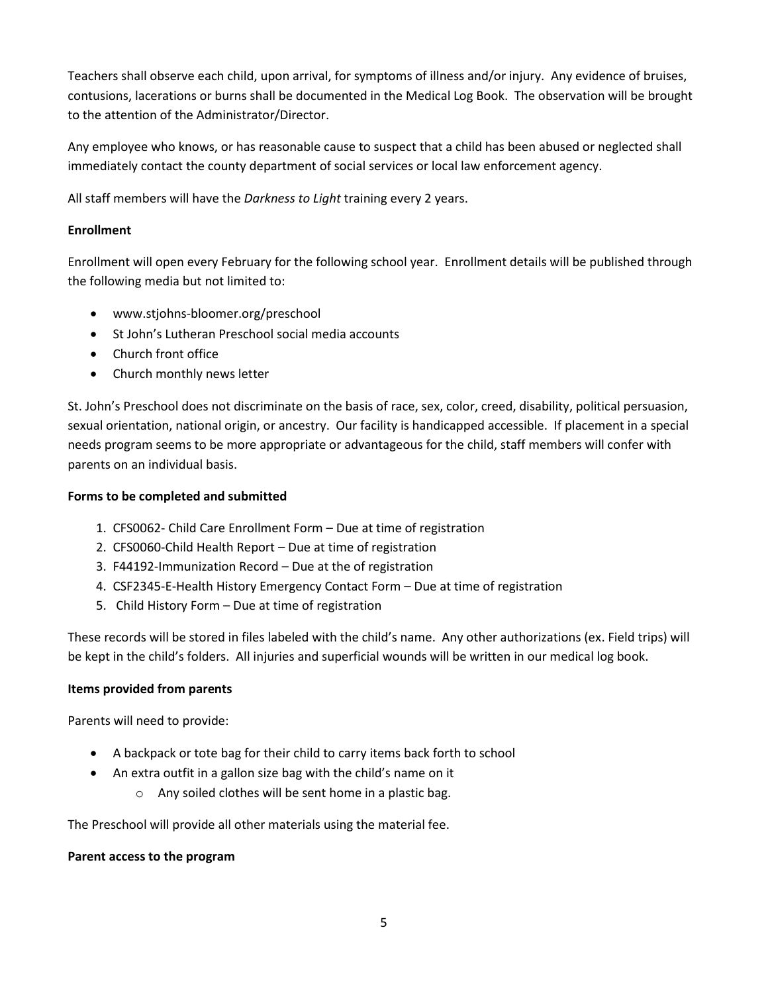Teachers shall observe each child, upon arrival, for symptoms of illness and/or injury. Any evidence of bruises, contusions, lacerations or burns shall be documented in the Medical Log Book. The observation will be brought to the attention of the Administrator/Director.

Any employee who knows, or has reasonable cause to suspect that a child has been abused or neglected shall immediately contact the county department of social services or local law enforcement agency.

All staff members will have the *Darkness to Light* training every 2 years.

# **Enrollment**

Enrollment will open every February for the following school year. Enrollment details will be published through the following media but not limited to:

- www.stjohns-bloomer.org/preschool
- St John's Lutheran Preschool social media accounts
- Church front office
- Church monthly news letter

St. John's Preschool does not discriminate on the basis of race, sex, color, creed, disability, political persuasion, sexual orientation, national origin, or ancestry. Our facility is handicapped accessible. If placement in a special needs program seems to be more appropriate or advantageous for the child, staff members will confer with parents on an individual basis.

### **Forms to be completed and submitted**

- 1. CFS0062- Child Care Enrollment Form Due at time of registration
- 2. CFS0060-Child Health Report Due at time of registration
- 3. F44192-Immunization Record Due at the of registration
- 4. CSF2345-E-Health History Emergency Contact Form Due at time of registration
- 5. Child History Form Due at time of registration

These records will be stored in files labeled with the child's name. Any other authorizations (ex. Field trips) will be kept in the child's folders. All injuries and superficial wounds will be written in our medical log book.

### **Items provided from parents**

Parents will need to provide:

- A backpack or tote bag for their child to carry items back forth to school
- An extra outfit in a gallon size bag with the child's name on it
	- o Any soiled clothes will be sent home in a plastic bag.

The Preschool will provide all other materials using the material fee.

### **Parent access to the program**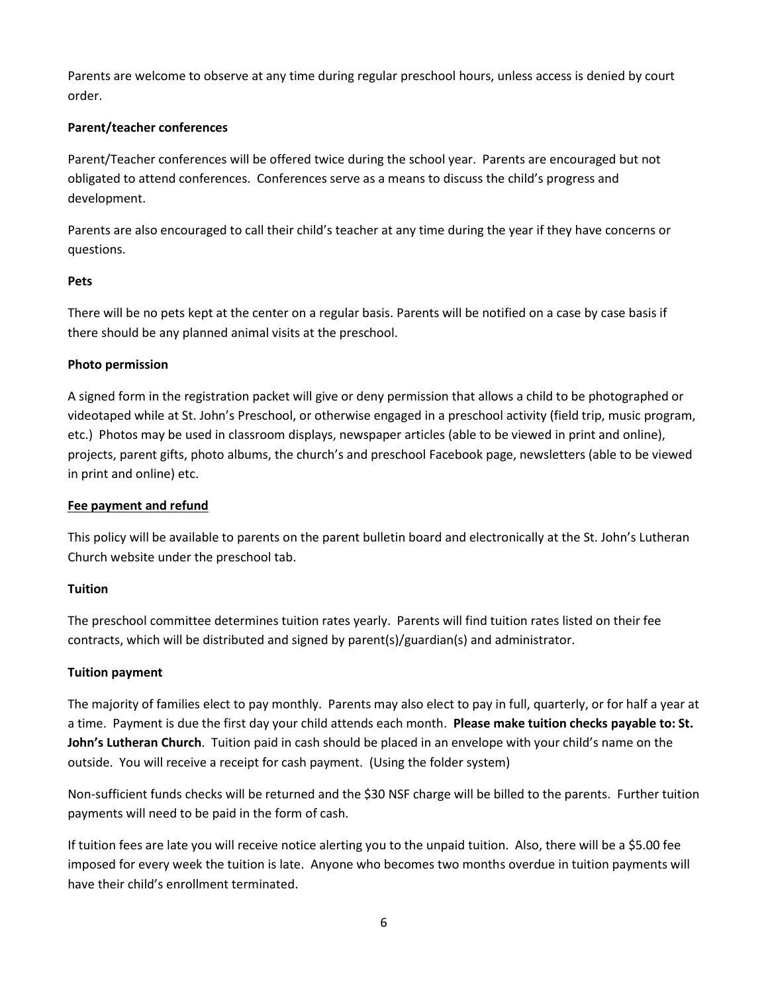Parents are welcome to observe at any time during regular preschool hours, unless access is denied by court order.

# **Parent/teacher conferences**

Parent/Teacher conferences will be offered twice during the school year. Parents are encouraged but not obligated to attend conferences. Conferences serve as a means to discuss the child's progress and development.

Parents are also encouraged to call their child's teacher at any time during the year if they have concerns or questions.

# **Pets**

There will be no pets kept at the center on a regular basis. Parents will be notified on a case by case basis if there should be any planned animal visits at the preschool.

# **Photo permission**

A signed form in the registration packet will give or deny permission that allows a child to be photographed or videotaped while at St. John's Preschool, or otherwise engaged in a preschool activity (field trip, music program, etc.) Photos may be used in classroom displays, newspaper articles (able to be viewed in print and online), projects, parent gifts, photo albums, the church's and preschool Facebook page, newsletters (able to be viewed in print and online) etc.

### **Fee payment and refund**

This policy will be available to parents on the parent bulletin board and electronically at the St. John's Lutheran Church website under the preschool tab.

### **Tuition**

The preschool committee determines tuition rates yearly. Parents will find tuition rates listed on their fee contracts, which will be distributed and signed by parent(s)/guardian(s) and administrator.

### **Tuition payment**

The majority of families elect to pay monthly. Parents may also elect to pay in full, quarterly, or for half a year at a time. Payment is due the first day your child attends each month. **Please make tuition checks payable to: St. John's Lutheran Church**. Tuition paid in cash should be placed in an envelope with your child's name on the outside. You will receive a receipt for cash payment. (Using the folder system)

Non-sufficient funds checks will be returned and the \$30 NSF charge will be billed to the parents. Further tuition payments will need to be paid in the form of cash.

If tuition fees are late you will receive notice alerting you to the unpaid tuition. Also, there will be a \$5.00 fee imposed for every week the tuition is late. Anyone who becomes two months overdue in tuition payments will have their child's enrollment terminated.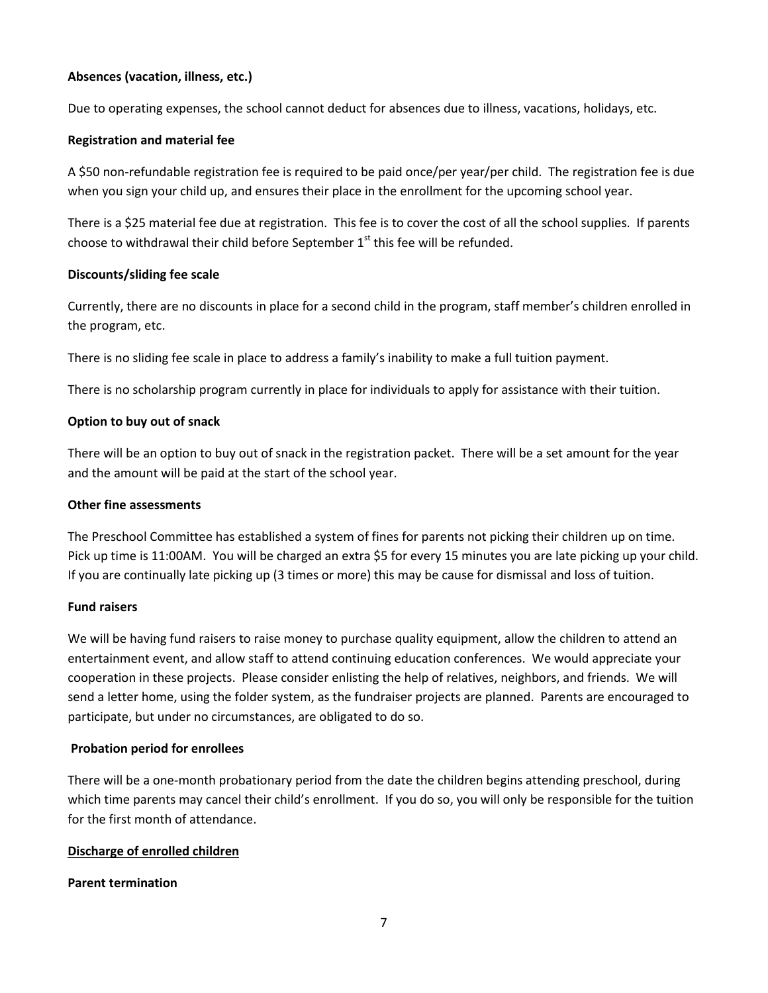### **Absences (vacation, illness, etc.)**

Due to operating expenses, the school cannot deduct for absences due to illness, vacations, holidays, etc.

### **Registration and material fee**

A \$50 non-refundable registration fee is required to be paid once/per year/per child. The registration fee is due when you sign your child up, and ensures their place in the enrollment for the upcoming school year.

There is a \$25 material fee due at registration. This fee is to cover the cost of all the school supplies. If parents choose to withdrawal their child before September  $1<sup>st</sup>$  this fee will be refunded.

### **Discounts/sliding fee scale**

Currently, there are no discounts in place for a second child in the program, staff member's children enrolled in the program, etc.

There is no sliding fee scale in place to address a family's inability to make a full tuition payment.

There is no scholarship program currently in place for individuals to apply for assistance with their tuition.

### **Option to buy out of snack**

There will be an option to buy out of snack in the registration packet. There will be a set amount for the year and the amount will be paid at the start of the school year.

### **Other fine assessments**

The Preschool Committee has established a system of fines for parents not picking their children up on time. Pick up time is 11:00AM. You will be charged an extra \$5 for every 15 minutes you are late picking up your child. If you are continually late picking up (3 times or more) this may be cause for dismissal and loss of tuition.

### **Fund raisers**

We will be having fund raisers to raise money to purchase quality equipment, allow the children to attend an entertainment event, and allow staff to attend continuing education conferences. We would appreciate your cooperation in these projects. Please consider enlisting the help of relatives, neighbors, and friends. We will send a letter home, using the folder system, as the fundraiser projects are planned. Parents are encouraged to participate, but under no circumstances, are obligated to do so.

### **Probation period for enrollees**

There will be a one-month probationary period from the date the children begins attending preschool, during which time parents may cancel their child's enrollment. If you do so, you will only be responsible for the tuition for the first month of attendance.

### **Discharge of enrolled children**

### **Parent termination**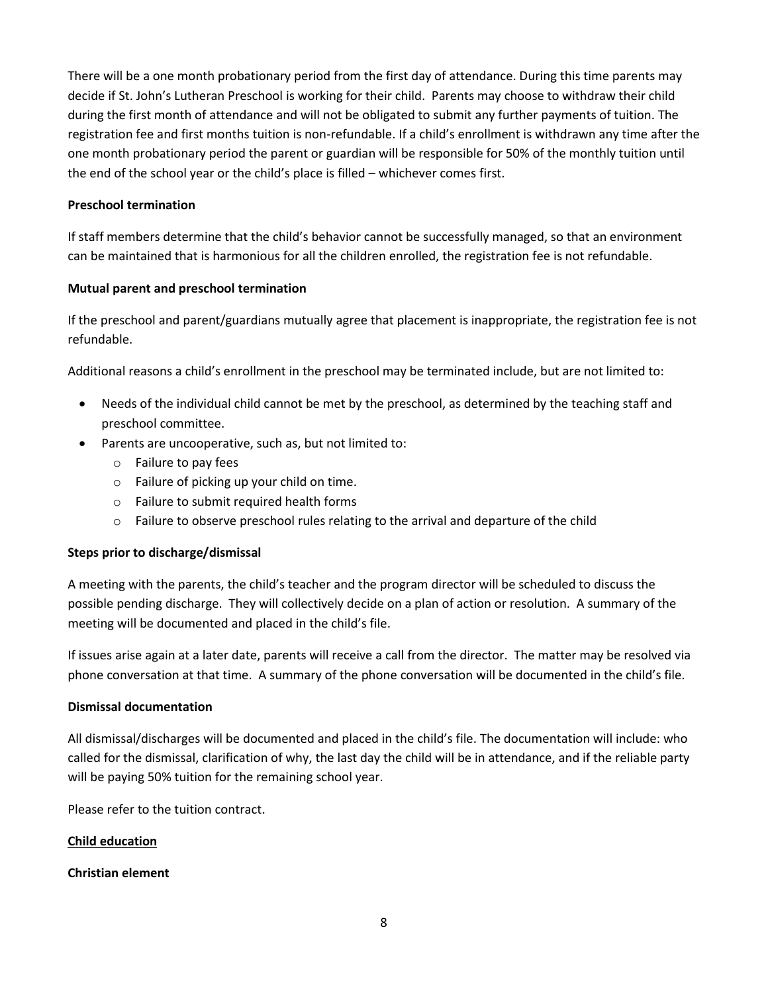There will be a one month probationary period from the first day of attendance. During this time parents may decide if St. John's Lutheran Preschool is working for their child. Parents may choose to withdraw their child during the first month of attendance and will not be obligated to submit any further payments of tuition. The registration fee and first months tuition is non-refundable. If a child's enrollment is withdrawn any time after the one month probationary period the parent or guardian will be responsible for 50% of the monthly tuition until the end of the school year or the child's place is filled – whichever comes first.

### **Preschool termination**

If staff members determine that the child's behavior cannot be successfully managed, so that an environment can be maintained that is harmonious for all the children enrolled, the registration fee is not refundable.

# **Mutual parent and preschool termination**

If the preschool and parent/guardians mutually agree that placement is inappropriate, the registration fee is not refundable.

Additional reasons a child's enrollment in the preschool may be terminated include, but are not limited to:

- Needs of the individual child cannot be met by the preschool, as determined by the teaching staff and preschool committee.
- Parents are uncooperative, such as, but not limited to:
	- o Failure to pay fees
	- o Failure of picking up your child on time.
	- o Failure to submit required health forms
	- o Failure to observe preschool rules relating to the arrival and departure of the child

# **Steps prior to discharge/dismissal**

A meeting with the parents, the child's teacher and the program director will be scheduled to discuss the possible pending discharge. They will collectively decide on a plan of action or resolution. A summary of the meeting will be documented and placed in the child's file.

If issues arise again at a later date, parents will receive a call from the director. The matter may be resolved via phone conversation at that time. A summary of the phone conversation will be documented in the child's file.

### **Dismissal documentation**

All dismissal/discharges will be documented and placed in the child's file. The documentation will include: who called for the dismissal, clarification of why, the last day the child will be in attendance, and if the reliable party will be paying 50% tuition for the remaining school year.

Please refer to the tuition contract.

# **Child education**

# **Christian element**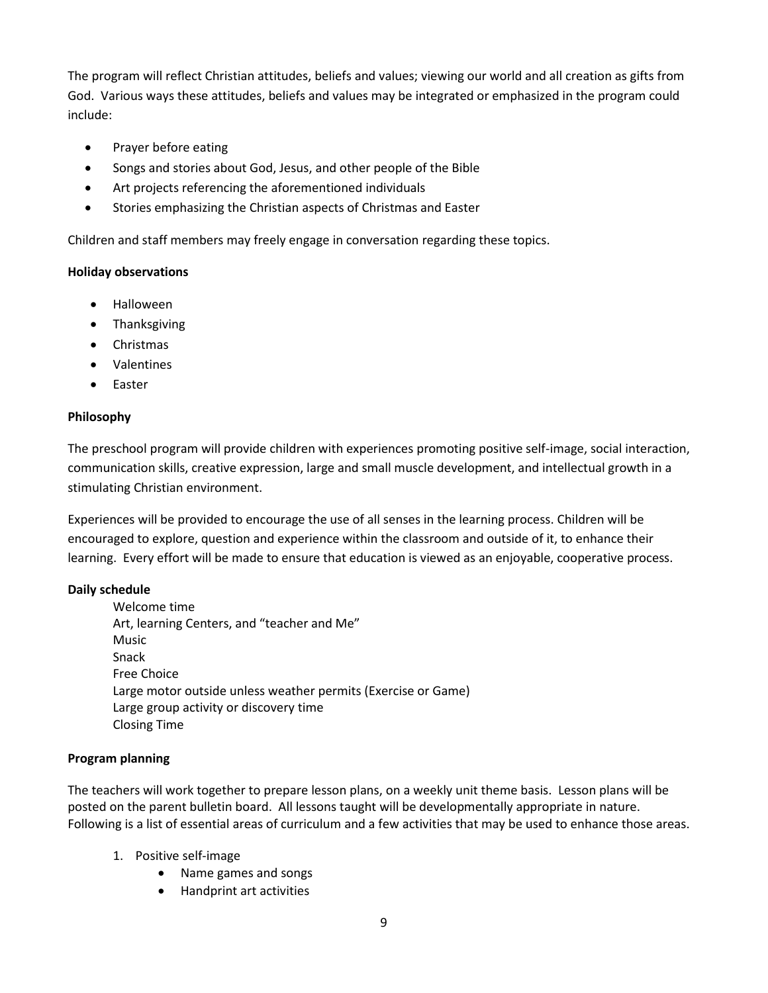The program will reflect Christian attitudes, beliefs and values; viewing our world and all creation as gifts from God. Various ways these attitudes, beliefs and values may be integrated or emphasized in the program could include:

- Prayer before eating
- Songs and stories about God, Jesus, and other people of the Bible
- Art projects referencing the aforementioned individuals
- Stories emphasizing the Christian aspects of Christmas and Easter

Children and staff members may freely engage in conversation regarding these topics.

#### **Holiday observations**

- Halloween
- **•** Thanksgiving
- Christmas
- Valentines
- Faster

#### **Philosophy**

The preschool program will provide children with experiences promoting positive self-image, social interaction, communication skills, creative expression, large and small muscle development, and intellectual growth in a stimulating Christian environment.

Experiences will be provided to encourage the use of all senses in the learning process. Children will be encouraged to explore, question and experience within the classroom and outside of it, to enhance their learning. Every effort will be made to ensure that education is viewed as an enjoyable, cooperative process.

#### **Daily schedule**

Welcome time Art, learning Centers, and "teacher and Me" Music Snack Free Choice Large motor outside unless weather permits (Exercise or Game) Large group activity or discovery time Closing Time

### **Program planning**

The teachers will work together to prepare lesson plans, on a weekly unit theme basis. Lesson plans will be posted on the parent bulletin board. All lessons taught will be developmentally appropriate in nature. Following is a list of essential areas of curriculum and a few activities that may be used to enhance those areas.

- 1. Positive self-image
	- Name games and songs
	- Handprint art activities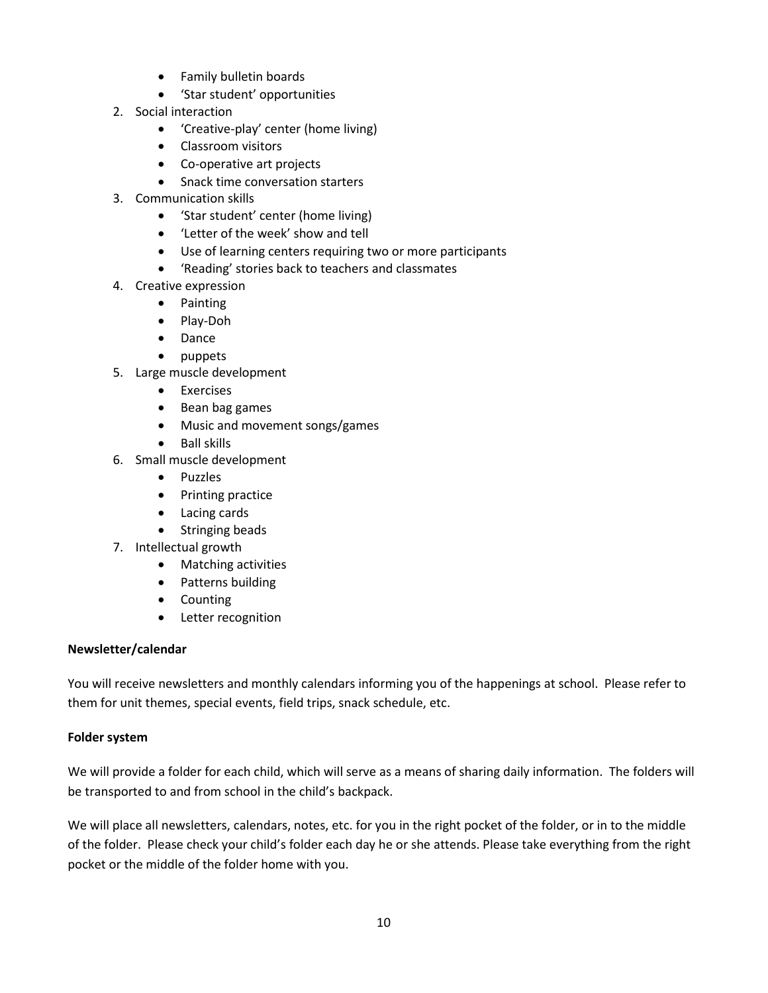- Family bulletin boards
- 'Star student' opportunities
- 2. Social interaction
	- 'Creative-play' center (home living)
	- Classroom visitors
	- Co-operative art projects
	- Snack time conversation starters
- 3. Communication skills
	- 'Star student' center (home living)
	- 'Letter of the week' show and tell
	- Use of learning centers requiring two or more participants
	- 'Reading' stories back to teachers and classmates
- 4. Creative expression
	- Painting
	- Play-Doh
	- Dance
	- puppets
- 5. Large muscle development
	- Exercises
	- Bean bag games
	- Music and movement songs/games
	- Ball skills
- 6. Small muscle development
	- Puzzles
	- Printing practice
	- Lacing cards
	- Stringing beads
- 7. Intellectual growth
	- Matching activities
	- Patterns building
	- Counting
	- Letter recognition

### **Newsletter/calendar**

You will receive newsletters and monthly calendars informing you of the happenings at school. Please refer to them for unit themes, special events, field trips, snack schedule, etc.

### **Folder system**

We will provide a folder for each child, which will serve as a means of sharing daily information. The folders will be transported to and from school in the child's backpack.

We will place all newsletters, calendars, notes, etc. for you in the right pocket of the folder, or in to the middle of the folder. Please check your child's folder each day he or she attends. Please take everything from the right pocket or the middle of the folder home with you.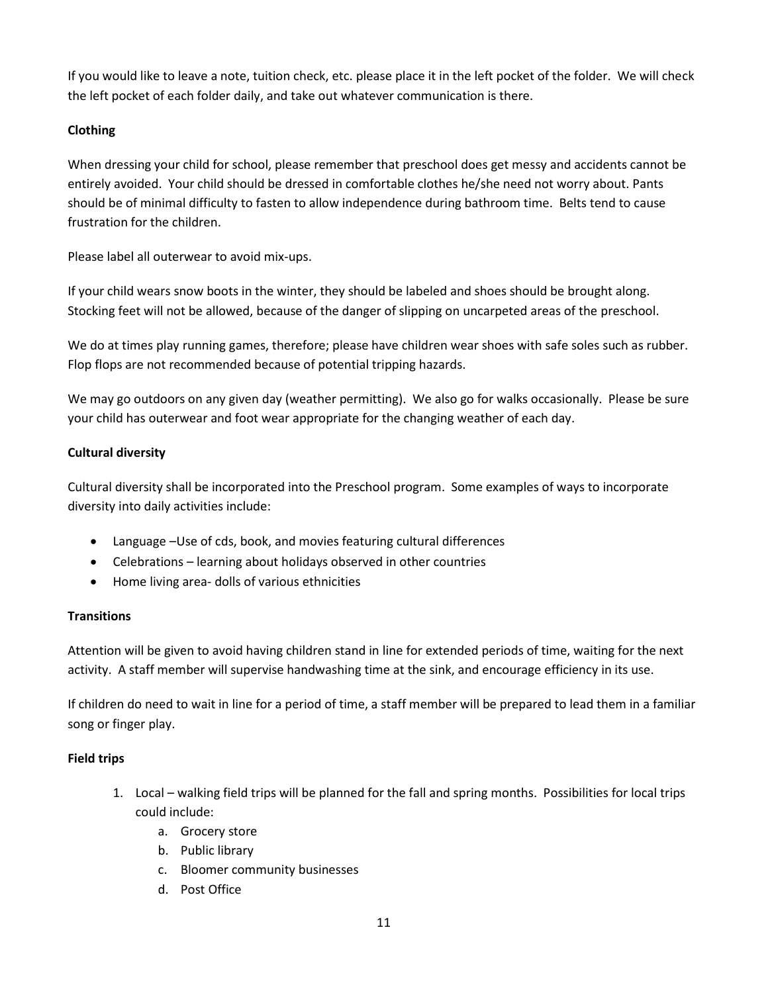If you would like to leave a note, tuition check, etc. please place it in the left pocket of the folder. We will check the left pocket of each folder daily, and take out whatever communication is there.

# **Clothing**

When dressing your child for school, please remember that preschool does get messy and accidents cannot be entirely avoided. Your child should be dressed in comfortable clothes he/she need not worry about. Pants should be of minimal difficulty to fasten to allow independence during bathroom time. Belts tend to cause frustration for the children.

Please label all outerwear to avoid mix-ups.

If your child wears snow boots in the winter, they should be labeled and shoes should be brought along. Stocking feet will not be allowed, because of the danger of slipping on uncarpeted areas of the preschool.

We do at times play running games, therefore; please have children wear shoes with safe soles such as rubber. Flop flops are not recommended because of potential tripping hazards.

We may go outdoors on any given day (weather permitting). We also go for walks occasionally. Please be sure your child has outerwear and foot wear appropriate for the changing weather of each day.

# **Cultural diversity**

Cultural diversity shall be incorporated into the Preschool program. Some examples of ways to incorporate diversity into daily activities include:

- Language –Use of cds, book, and movies featuring cultural differences
- Celebrations learning about holidays observed in other countries
- Home living area- dolls of various ethnicities

# **Transitions**

Attention will be given to avoid having children stand in line for extended periods of time, waiting for the next activity. A staff member will supervise handwashing time at the sink, and encourage efficiency in its use.

If children do need to wait in line for a period of time, a staff member will be prepared to lead them in a familiar song or finger play.

# **Field trips**

- 1. Local walking field trips will be planned for the fall and spring months. Possibilities for local trips could include:
	- a. Grocery store
	- b. Public library
	- c. Bloomer community businesses
	- d. Post Office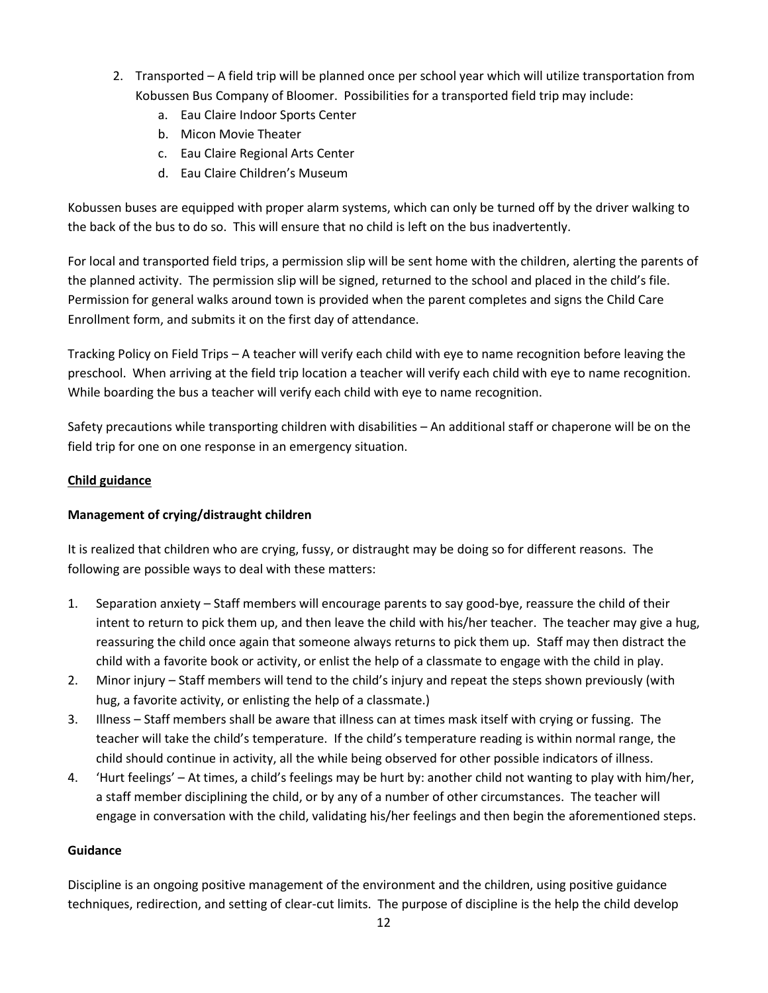- 2. Transported A field trip will be planned once per school year which will utilize transportation from Kobussen Bus Company of Bloomer. Possibilities for a transported field trip may include:
	- a. Eau Claire Indoor Sports Center
	- b. Micon Movie Theater
	- c. Eau Claire Regional Arts Center
	- d. Eau Claire Children's Museum

Kobussen buses are equipped with proper alarm systems, which can only be turned off by the driver walking to the back of the bus to do so. This will ensure that no child is left on the bus inadvertently.

For local and transported field trips, a permission slip will be sent home with the children, alerting the parents of the planned activity. The permission slip will be signed, returned to the school and placed in the child's file. Permission for general walks around town is provided when the parent completes and signs the Child Care Enrollment form, and submits it on the first day of attendance.

Tracking Policy on Field Trips – A teacher will verify each child with eye to name recognition before leaving the preschool. When arriving at the field trip location a teacher will verify each child with eye to name recognition. While boarding the bus a teacher will verify each child with eye to name recognition.

Safety precautions while transporting children with disabilities – An additional staff or chaperone will be on the field trip for one on one response in an emergency situation.

# **Child guidance**

# **Management of crying/distraught children**

It is realized that children who are crying, fussy, or distraught may be doing so for different reasons. The following are possible ways to deal with these matters:

- 1. Separation anxiety Staff members will encourage parents to say good-bye, reassure the child of their intent to return to pick them up, and then leave the child with his/her teacher. The teacher may give a hug, reassuring the child once again that someone always returns to pick them up. Staff may then distract the child with a favorite book or activity, or enlist the help of a classmate to engage with the child in play.
- 2. Minor injury Staff members will tend to the child's injury and repeat the steps shown previously (with hug, a favorite activity, or enlisting the help of a classmate.)
- 3. Illness Staff members shall be aware that illness can at times mask itself with crying or fussing. The teacher will take the child's temperature. If the child's temperature reading is within normal range, the child should continue in activity, all the while being observed for other possible indicators of illness.
- 4. 'Hurt feelings' At times, a child's feelings may be hurt by: another child not wanting to play with him/her, a staff member disciplining the child, or by any of a number of other circumstances. The teacher will engage in conversation with the child, validating his/her feelings and then begin the aforementioned steps.

### **Guidance**

Discipline is an ongoing positive management of the environment and the children, using positive guidance techniques, redirection, and setting of clear-cut limits. The purpose of discipline is the help the child develop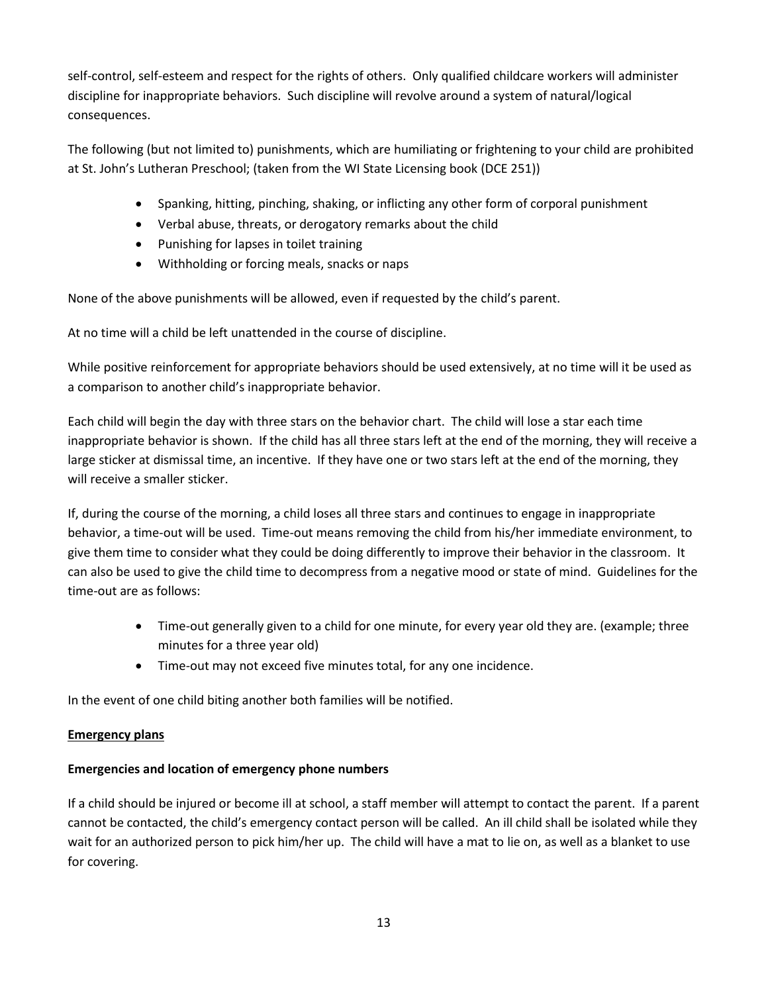self-control, self-esteem and respect for the rights of others. Only qualified childcare workers will administer discipline for inappropriate behaviors. Such discipline will revolve around a system of natural/logical consequences.

The following (but not limited to) punishments, which are humiliating or frightening to your child are prohibited at St. John's Lutheran Preschool; (taken from the WI State Licensing book (DCE 251))

- Spanking, hitting, pinching, shaking, or inflicting any other form of corporal punishment
- Verbal abuse, threats, or derogatory remarks about the child
- Punishing for lapses in toilet training
- Withholding or forcing meals, snacks or naps

None of the above punishments will be allowed, even if requested by the child's parent.

At no time will a child be left unattended in the course of discipline.

While positive reinforcement for appropriate behaviors should be used extensively, at no time will it be used as a comparison to another child's inappropriate behavior.

Each child will begin the day with three stars on the behavior chart. The child will lose a star each time inappropriate behavior is shown. If the child has all three stars left at the end of the morning, they will receive a large sticker at dismissal time, an incentive. If they have one or two stars left at the end of the morning, they will receive a smaller sticker.

If, during the course of the morning, a child loses all three stars and continues to engage in inappropriate behavior, a time-out will be used. Time-out means removing the child from his/her immediate environment, to give them time to consider what they could be doing differently to improve their behavior in the classroom. It can also be used to give the child time to decompress from a negative mood or state of mind. Guidelines for the time-out are as follows:

- Time-out generally given to a child for one minute, for every year old they are. (example; three minutes for a three year old)
- Time-out may not exceed five minutes total, for any one incidence.

In the event of one child biting another both families will be notified.

# **Emergency plans**

# **Emergencies and location of emergency phone numbers**

If a child should be injured or become ill at school, a staff member will attempt to contact the parent. If a parent cannot be contacted, the child's emergency contact person will be called. An ill child shall be isolated while they wait for an authorized person to pick him/her up. The child will have a mat to lie on, as well as a blanket to use for covering.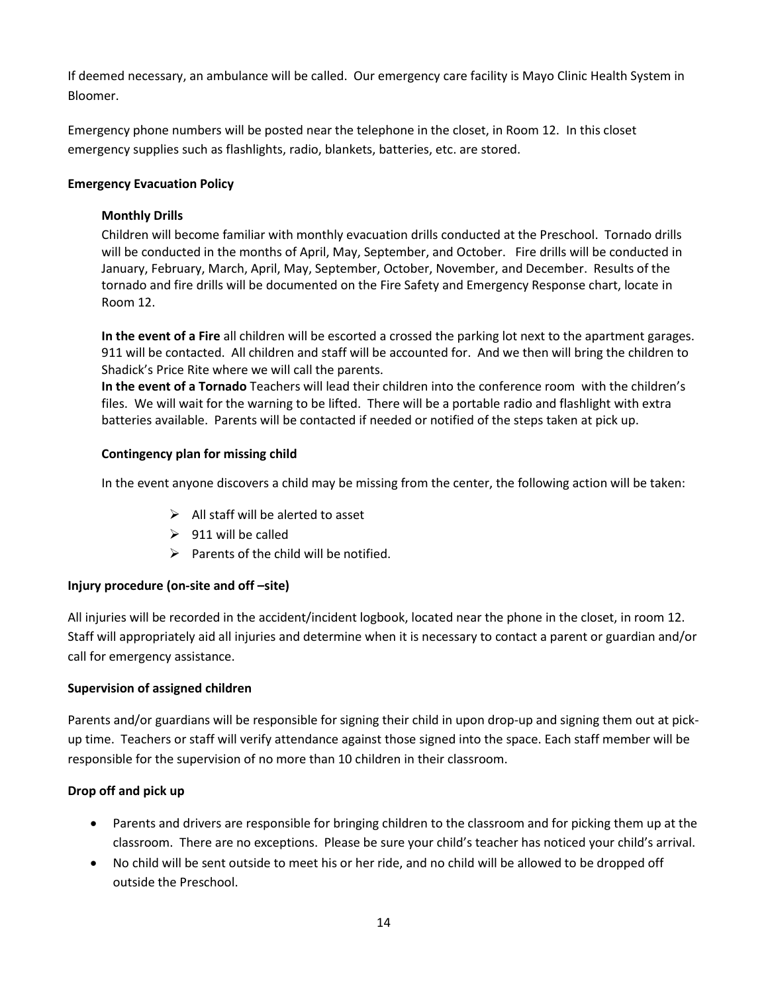If deemed necessary, an ambulance will be called. Our emergency care facility is Mayo Clinic Health System in Bloomer.

Emergency phone numbers will be posted near the telephone in the closet, in Room 12. In this closet emergency supplies such as flashlights, radio, blankets, batteries, etc. are stored.

# **Emergency Evacuation Policy**

# **Monthly Drills**

Children will become familiar with monthly evacuation drills conducted at the Preschool. Tornado drills will be conducted in the months of April, May, September, and October. Fire drills will be conducted in January, February, March, April, May, September, October, November, and December. Results of the tornado and fire drills will be documented on the Fire Safety and Emergency Response chart, locate in Room 12.

**In the event of a Fire** all children will be escorted a crossed the parking lot next to the apartment garages. 911 will be contacted. All children and staff will be accounted for. And we then will bring the children to Shadick's Price Rite where we will call the parents.

**In the event of a Tornado** Teachers will lead their children into the conference room with the children's files. We will wait for the warning to be lifted. There will be a portable radio and flashlight with extra batteries available. Parents will be contacted if needed or notified of the steps taken at pick up.

### **Contingency plan for missing child**

In the event anyone discovers a child may be missing from the center, the following action will be taken:

- $\triangleright$  All staff will be alerted to asset
- $\geq$  911 will be called
- $\triangleright$  Parents of the child will be notified.

### **Injury procedure (on-site and off –site)**

All injuries will be recorded in the accident/incident logbook, located near the phone in the closet, in room 12. Staff will appropriately aid all injuries and determine when it is necessary to contact a parent or guardian and/or call for emergency assistance.

### **Supervision of assigned children**

Parents and/or guardians will be responsible for signing their child in upon drop-up and signing them out at pickup time. Teachers or staff will verify attendance against those signed into the space. Each staff member will be responsible for the supervision of no more than 10 children in their classroom.

### **Drop off and pick up**

- Parents and drivers are responsible for bringing children to the classroom and for picking them up at the classroom. There are no exceptions. Please be sure your child's teacher has noticed your child's arrival.
- No child will be sent outside to meet his or her ride, and no child will be allowed to be dropped off outside the Preschool.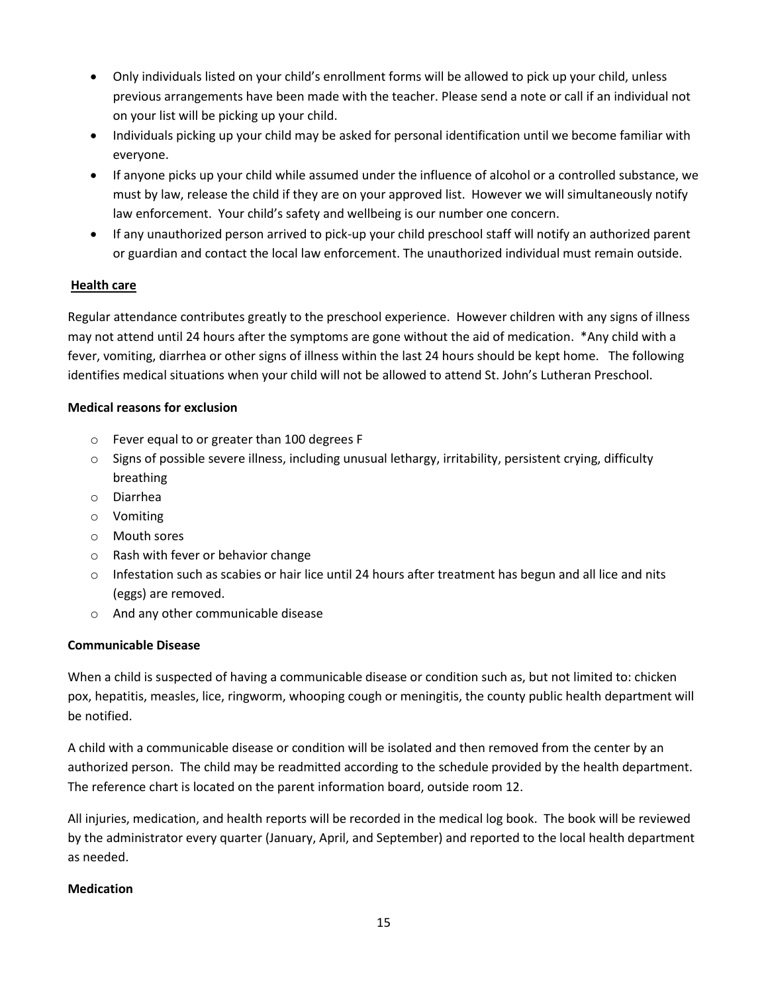- Only individuals listed on your child's enrollment forms will be allowed to pick up your child, unless previous arrangements have been made with the teacher. Please send a note or call if an individual not on your list will be picking up your child.
- Individuals picking up your child may be asked for personal identification until we become familiar with everyone.
- If anyone picks up your child while assumed under the influence of alcohol or a controlled substance, we must by law, release the child if they are on your approved list. However we will simultaneously notify law enforcement. Your child's safety and wellbeing is our number one concern.
- If any unauthorized person arrived to pick-up your child preschool staff will notify an authorized parent or guardian and contact the local law enforcement. The unauthorized individual must remain outside.

# **Health care**

Regular attendance contributes greatly to the preschool experience. However children with any signs of illness may not attend until 24 hours after the symptoms are gone without the aid of medication. \*Any child with a fever, vomiting, diarrhea or other signs of illness within the last 24 hours should be kept home. The following identifies medical situations when your child will not be allowed to attend St. John's Lutheran Preschool.

# **Medical reasons for exclusion**

- o Fever equal to or greater than 100 degrees F
- $\circ$  Signs of possible severe illness, including unusual lethargy, irritability, persistent crying, difficulty breathing
- o Diarrhea
- o Vomiting
- o Mouth sores
- o Rash with fever or behavior change
- $\circ$  Infestation such as scabies or hair lice until 24 hours after treatment has begun and all lice and nits (eggs) are removed.
- o And any other communicable disease

# **Communicable Disease**

When a child is suspected of having a communicable disease or condition such as, but not limited to: chicken pox, hepatitis, measles, lice, ringworm, whooping cough or meningitis, the county public health department will be notified.

A child with a communicable disease or condition will be isolated and then removed from the center by an authorized person. The child may be readmitted according to the schedule provided by the health department. The reference chart is located on the parent information board, outside room 12.

All injuries, medication, and health reports will be recorded in the medical log book. The book will be reviewed by the administrator every quarter (January, April, and September) and reported to the local health department as needed.

# **Medication**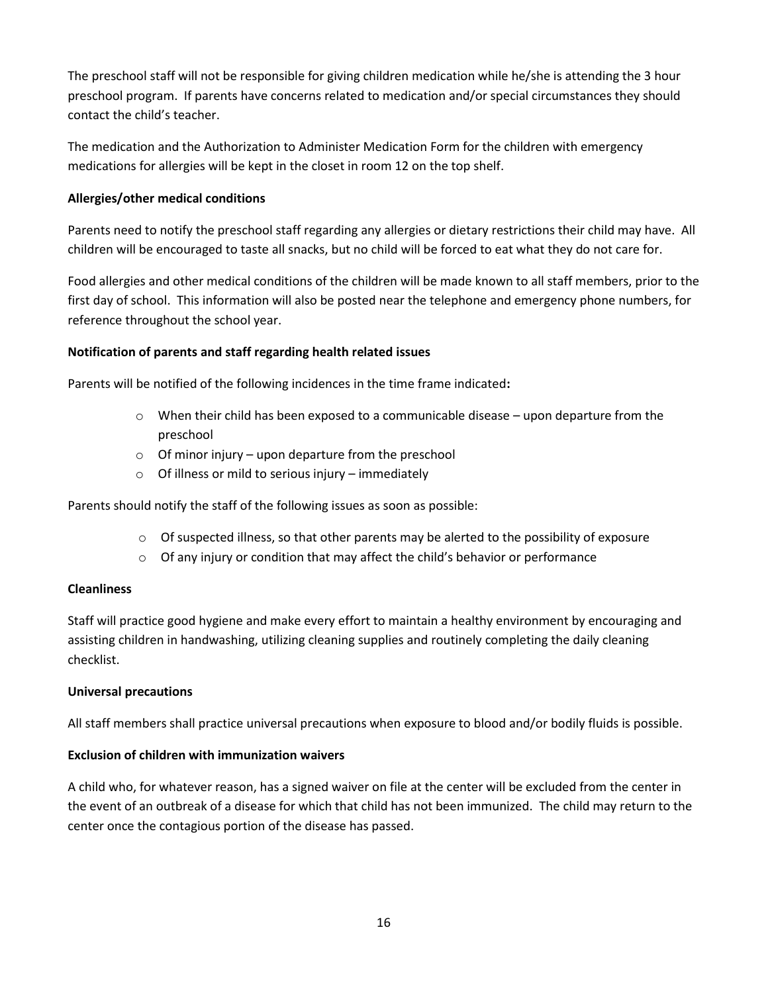The preschool staff will not be responsible for giving children medication while he/she is attending the 3 hour preschool program. If parents have concerns related to medication and/or special circumstances they should contact the child's teacher.

The medication and the Authorization to Administer Medication Form for the children with emergency medications for allergies will be kept in the closet in room 12 on the top shelf.

# **Allergies/other medical conditions**

Parents need to notify the preschool staff regarding any allergies or dietary restrictions their child may have. All children will be encouraged to taste all snacks, but no child will be forced to eat what they do not care for.

Food allergies and other medical conditions of the children will be made known to all staff members, prior to the first day of school. This information will also be posted near the telephone and emergency phone numbers, for reference throughout the school year.

# **Notification of parents and staff regarding health related issues**

Parents will be notified of the following incidences in the time frame indicated**:**

- $\circ$  When their child has been exposed to a communicable disease upon departure from the preschool
- $\circ$  Of minor injury upon departure from the preschool
- $\circ$  Of illness or mild to serious injury immediately

Parents should notify the staff of the following issues as soon as possible:

- $\circ$  Of suspected illness, so that other parents may be alerted to the possibility of exposure
- o Of any injury or condition that may affect the child's behavior or performance

### **Cleanliness**

Staff will practice good hygiene and make every effort to maintain a healthy environment by encouraging and assisting children in handwashing, utilizing cleaning supplies and routinely completing the daily cleaning checklist.

### **Universal precautions**

All staff members shall practice universal precautions when exposure to blood and/or bodily fluids is possible.

### **Exclusion of children with immunization waivers**

A child who, for whatever reason, has a signed waiver on file at the center will be excluded from the center in the event of an outbreak of a disease for which that child has not been immunized. The child may return to the center once the contagious portion of the disease has passed.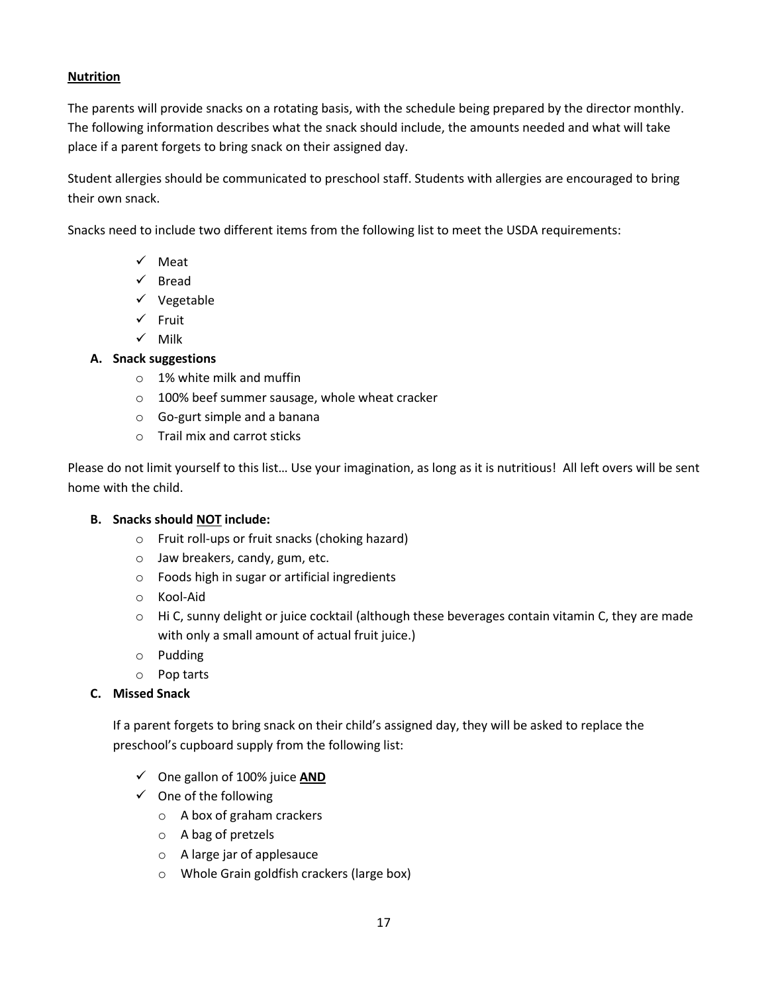# **Nutrition**

The parents will provide snacks on a rotating basis, with the schedule being prepared by the director monthly. The following information describes what the snack should include, the amounts needed and what will take place if a parent forgets to bring snack on their assigned day.

Student allergies should be communicated to preschool staff. Students with allergies are encouraged to bring their own snack.

Snacks need to include two different items from the following list to meet the USDA requirements:

- $\checkmark$  Meat
- $\checkmark$  Bread
- $\checkmark$  Vegetable
- $\checkmark$  Fruit
- $\checkmark$  Milk

# **A. Snack suggestions**

- o 1% white milk and muffin
- o 100% beef summer sausage, whole wheat cracker
- o Go-gurt simple and a banana
- o Trail mix and carrot sticks

Please do not limit yourself to this list… Use your imagination, as long as it is nutritious! All left overs will be sent home with the child.

# **B. Snacks should NOT include:**

- o Fruit roll-ups or fruit snacks (choking hazard)
- o Jaw breakers, candy, gum, etc.
- o Foods high in sugar or artificial ingredients
- o Kool-Aid
- $\circ$  Hi C, sunny delight or juice cocktail (although these beverages contain vitamin C, they are made with only a small amount of actual fruit juice.)
- o Pudding
- o Pop tarts

# **C. Missed Snack**

If a parent forgets to bring snack on their child's assigned day, they will be asked to replace the preschool's cupboard supply from the following list:

- One gallon of 100% juice **AND**
- $\checkmark$  One of the following
	- o A box of graham crackers
	- o A bag of pretzels
	- o A large jar of applesauce
	- o Whole Grain goldfish crackers (large box)